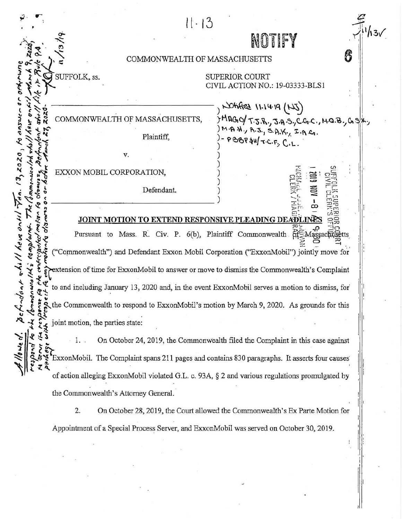|  | 11.13                                                                                                                                                                                                                                                                                                                                                                                                                                                       |  |
|--|-------------------------------------------------------------------------------------------------------------------------------------------------------------------------------------------------------------------------------------------------------------------------------------------------------------------------------------------------------------------------------------------------------------------------------------------------------------|--|
|  | NOTIFY                                                                                                                                                                                                                                                                                                                                                                                                                                                      |  |
|  |                                                                                                                                                                                                                                                                                                                                                                                                                                                             |  |
|  | 6<br>COMMONWEALTH OF MASSACHUSETTS                                                                                                                                                                                                                                                                                                                                                                                                                          |  |
|  | SUFFOLK, ss.<br><b>SUPERIOR COURT</b>                                                                                                                                                                                                                                                                                                                                                                                                                       |  |
|  | CIVIL ACTION NO.: 19-03333-BLS1                                                                                                                                                                                                                                                                                                                                                                                                                             |  |
|  |                                                                                                                                                                                                                                                                                                                                                                                                                                                             |  |
|  | NOtified 11.14.19 (NJ)                                                                                                                                                                                                                                                                                                                                                                                                                                      |  |
|  | COMMONWEALTH OF MASSACHUSETTS,<br>$\left\{ \begin{array}{l} \gamma M \cap G_1 \cup \gamma T. \mathbb{R}, \gamma \in A \cup C. \mathbb{R}, C. \mathbb{R}, C. \mathbb{R}, \mathbb{R}, \gamma \in \mathbb{R}, \\ \gamma M. \mathbb{R}, M. \gamma \mathbb{R}, \mathbb{R}, \gamma \in A. \mathbb{R}, \mathbb{R}, \mathbb{R}, C. \mathbb{R}, \\ \gamma P. \mathbb{R} \oplus \gamma \in \mathbb{R}, \mathbb{R}, C. \mathbb{R}, C. \mathbb{R}. \end{array} \right.$ |  |
|  | Plaintiff,                                                                                                                                                                                                                                                                                                                                                                                                                                                  |  |
|  |                                                                                                                                                                                                                                                                                                                                                                                                                                                             |  |
|  | V.                                                                                                                                                                                                                                                                                                                                                                                                                                                          |  |
|  |                                                                                                                                                                                                                                                                                                                                                                                                                                                             |  |
|  | EXXON MOBIL CORPORATION,                                                                                                                                                                                                                                                                                                                                                                                                                                    |  |
|  | <b>NON 6102</b><br>Defendant.                                                                                                                                                                                                                                                                                                                                                                                                                               |  |
|  |                                                                                                                                                                                                                                                                                                                                                                                                                                                             |  |
|  |                                                                                                                                                                                                                                                                                                                                                                                                                                                             |  |
|  | JOINT MOTION TO EXTEND RESPONSIVE PLEADING DEADLINES                                                                                                                                                                                                                                                                                                                                                                                                        |  |
|  | Pursuant to Mass. R. Civ. P. 6(b), Plaintiff Commonwealth of Massachusetts                                                                                                                                                                                                                                                                                                                                                                                  |  |
|  | ("Commonwealth") and Defendant Exxon Mobil Corporation ("ExxonMobil") jointly move for                                                                                                                                                                                                                                                                                                                                                                      |  |
|  |                                                                                                                                                                                                                                                                                                                                                                                                                                                             |  |
|  | extension of time for ExxonMobil to answer or move to dismiss the Commonwealth's Complaint                                                                                                                                                                                                                                                                                                                                                                  |  |
|  | to and including January 13, 2020 and, in the event ExxonMobil serves a motion to dismiss, for                                                                                                                                                                                                                                                                                                                                                              |  |
|  |                                                                                                                                                                                                                                                                                                                                                                                                                                                             |  |
|  | the Commonwealth to respond to ExxonMobil's motion by March 9, 2020. As grounds for this                                                                                                                                                                                                                                                                                                                                                                    |  |
|  |                                                                                                                                                                                                                                                                                                                                                                                                                                                             |  |
|  | joint motion, the parties state:                                                                                                                                                                                                                                                                                                                                                                                                                            |  |
|  | On October 24, 2019, the Commonwealth filed the Complaint in this case against<br>$\cdot$ 1. .                                                                                                                                                                                                                                                                                                                                                              |  |
|  | ExxonMobil. The Complaint spans 211 pages and contains 830 paragraphs. It asserts four causes                                                                                                                                                                                                                                                                                                                                                               |  |
|  |                                                                                                                                                                                                                                                                                                                                                                                                                                                             |  |
|  | of action alleging ExxonMobil violated G.L. c. 93A, § 2 and various regulations promulgated by                                                                                                                                                                                                                                                                                                                                                              |  |

the Commonwealth's Attorney General.

 $2.$ On October 28, 2019, the Court allowed the Commonwealth's Ex Parte Motion for Appointment of a Special Process Server, and ExxonMobil was served on October 30, 2019.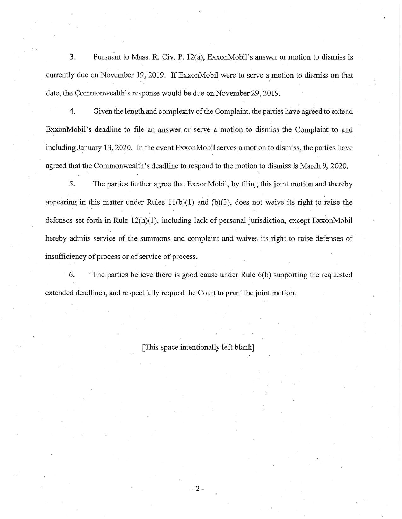3. Pursuant to Mass. R. Civ. P. 12(a), ExxonMobil's answer or motion to dismiss is currently due on November 19, 2019. If ExxonMobil were to serve a ,motion to dismiss on that date, the Commonwealth's response would be due on November 29, 2019.

4. Given the length and complexity of the Complaint, the parties have agreed to extend ExxonMobil's deadline to file an answer or serve a motion to dismiss the Complaint to and including January 13,2020. In the event ExxonMobil serves a motion to dismiss, the parties have agreed that the Commonwealth's deadline to respond to the motion to dismiss is March 9, 2020.

5. The parties further agree that ExxonMobil, by filing this joint motion and thereby appearing in this matter under Rules 11(b)(1) and (b)(3), does not waive its right to raise the defenses set forth in Rule 12(h)(1), including lack of personal jurisdiction, except ExxonMobil hereby admits service of the summons and complaint and waives its right to raise defenses of insufficiency of process or of service of process.

6. The parties believe there is good cause under Rule 6(b) supporting the requested extended deadlines, and respectfully request the Court to grant the joint motion.

[This space intentionally left blank]

-2-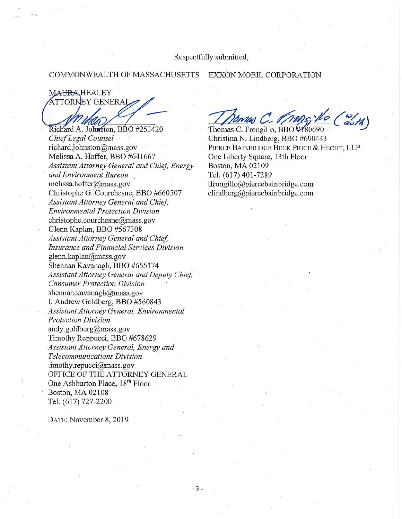Respectfully submitted,

## COMMONWEALTH OF MASSACHUSETTS EXXON MOBIL CORPORATION

**MAURA, HEALEY** ATTORNEY GENERAI^ Richard A. Johnston, BBO #253420

*ChiefLegal Counsel* richard.johnston@mass.gov Melissa A. Hoffer, BBO #641667 *AssistantAttorney General and Chief, Energy andEnvironment Bureau* melissa.hoffer@mass. gov Christophe G. Courchesne, BBO #660507  $A$ *ssistant Attorney General and Chief*, *Environmental Protection Division* christophe.courchesne@mass.gov Glenn Kaplan, BBO #567308 *AssistantAttorney General and Chief Insurance andFinancial Services Division* glenn.kaplan@mass.gov Shennan Kavanagh, BBO #655174 *AssistantAttorney General and Deputy Chief, Consumer Protection Division* [shennan.kavanagh@mass.gov](mailto:shennan.kavanagh@mass.gov) I. Andrew Goldberg, BBO #560843 *AssistantAttorney General, Environmental Protection Division* [andy.goldberg@mass.gov](mailto:andy.goldberg@mass.gov) Timothy Reppucci, BBO #678629 *AssistantAttorney General, Energy and Telecommunications Division* [timothy.repucci@mass.gov](mailto:timothy.repucci@mass.gov) OFFICE OF THE ATTORNEY GENERAL One Ashburton Place, 18<sup>th</sup> Floor Boston, MA 02108 Tel: (617) 727-2200

DATE: November 8, 2019

Thomas C. Frongillo, BBO *WS0690 ^*

Christina N. Lindberg, BBO #690443 Pierce Bainbridge Beck Price & Hecht, LLP One Liberty Square, 13th Floor Boston, MA 02109 Tel: (617)401-7289 tfrongillo@piercebainbridge. com [clindberg@piercebainbridge.com](mailto:clindberg@piercebainbridge.com)